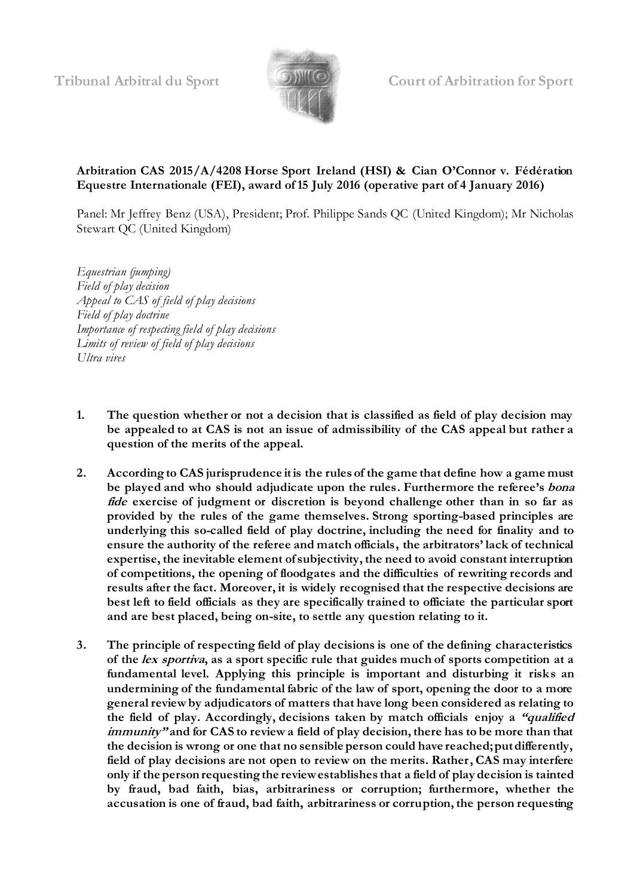

## **Arbitration CAS 2015/A/4208 Horse Sport Ireland (HSI) & Cian O'Connor v. Fédération Equestre Internationale (FEI), award of 15 July 2016 (operative part of 4 January 2016)**

Panel: Mr Jeffrey Benz (USA), President; Prof. Philippe Sands QC (United Kingdom); Mr Nicholas Stewart QC (United Kingdom)

*Equestrian (jumping) Field of play decision Appeal to CAS of field of play decisions Field of play doctrine Importance of respecting field of play decisions Limits of review of field of play decisions Ultra vires*

- **1. The question whether or not a decision that is classified as field of play decision may be appealed to at CAS is not an issue of admissibility of the CAS appeal but rather a question of the merits of the appeal.**
- **2. According to CAS jurisprudence it is the rules of the game that define how a game must be played and who should adjudicate upon the rules. Furthermore the referee's bona fide exercise of judgment or discretion is beyond challenge other than in so far as provided by the rules of the game themselves. Strong sporting-based principles are underlying this so-called field of play doctrine, including the need for finality and to ensure the authority of the referee and match officials, the arbitrators' lack of technical expertise, the inevitable element of subjectivity, the need to avoid constant interruption of competitions, the opening of floodgates and the difficulties of rewriting records and results after the fact. Moreover, it is widely recognised that the respective decisions are best left to field officials as they are specifically trained to officiate the particular sport and are best placed, being on-site, to settle any question relating to it.**
- **3. The principle of respecting field of play decisions is one of the defining characteristics of the lex sportiva, as a sport specific rule that guides much of sports competition at a fundamental level. Applying this principle is important and disturbing it risks an undermining of the fundamental fabric of the law of sport, opening the door to a more general review by adjudicators of matters that have long been considered as relating to the field of play. Accordingly, decisions taken by match officials enjoy a "qualified immunity" and for CAS to review a field of play decision, there has to be more than that the decision is wrong or one that no sensible person could have reached; put differently, field of play decisions are not open to review on the merits. Rather, CAS may interfere only if the person requesting the review establishes that a field of play decision is tainted by fraud, bad faith, bias, arbitrariness or corruption; furthermore, whether the accusation is one of fraud, bad faith, arbitrariness or corruption, the person requesting**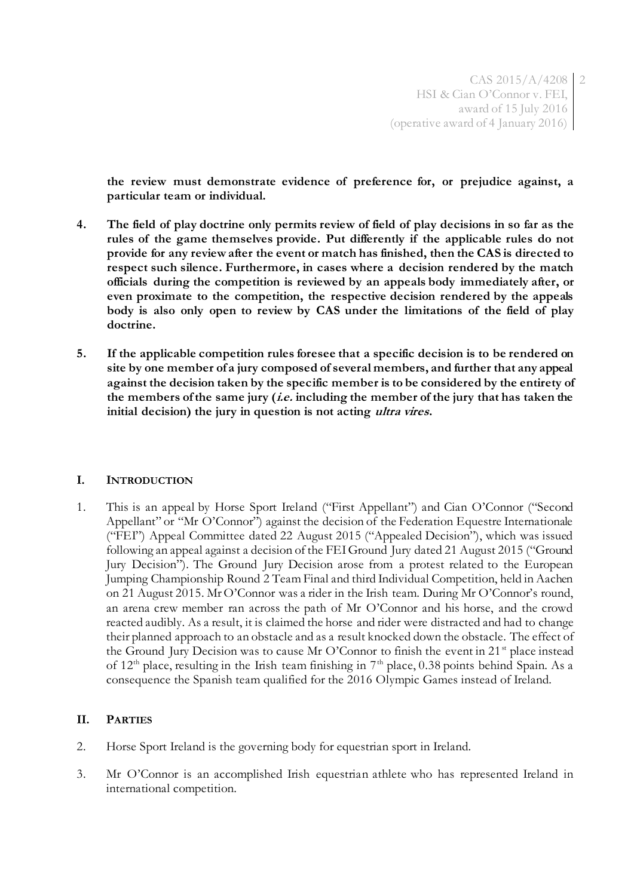**the review must demonstrate evidence of preference for, or prejudice against, a particular team or individual.**

- **4. The field of play doctrine only permits review of field of play decisions in so far as the rules of the game themselves provide. Put differently if the applicable rules do not provide for any review after the event or match has finished, then the CAS is directed to respect such silence. Furthermore, in cases where a decision rendered by the match officials during the competition is reviewed by an appeals body immediately after, or even proximate to the competition, the respective decision rendered by the appeals body is also only open to review by CAS under the limitations of the field of play doctrine.**
- **5. If the applicable competition rules foresee that a specific decision is to be rendered on site by one member of a jury composed of several members, and further that any appeal against the decision taken by the specific member is to be considered by the entirety of the members of the same jury (i.e. including the member of the jury that has taken the initial decision) the jury in question is not acting ultra vires.**

#### **I. INTRODUCTION**

1. This is an appeal by Horse Sport Ireland ("First Appellant") and Cian O'Connor ("Second Appellant" or "Mr O'Connor") against the decision of the Federation Equestre Internationale ("FEI") Appeal Committee dated 22 August 2015 ("Appealed Decision"), which was issued following an appeal against a decision of the FEI Ground Jury dated 21 August 2015 ("Ground Jury Decision"). The Ground Jury Decision arose from a protest related to the European Jumping Championship Round 2 Team Final and third Individual Competition, held in Aachen on 21 August 2015. Mr O'Connor was a rider in the Irish team. During Mr O'Connor's round, an arena crew member ran across the path of Mr O'Connor and his horse, and the crowd reacted audibly. As a result, it is claimed the horse and rider were distracted and had to change their planned approach to an obstacle and as a result knocked down the obstacle. The effect of the Ground Jury Decision was to cause Mr O'Connor to finish the event in 21<sup>st</sup> place instead of 12<sup>th</sup> place, resulting in the Irish team finishing in 7<sup>th</sup> place, 0.38 points behind Spain. As a consequence the Spanish team qualified for the 2016 Olympic Games instead of Ireland.

# **II. PARTIES**

- 2. Horse Sport Ireland is the governing body for equestrian sport in Ireland.
- 3. Mr O'Connor is an accomplished Irish equestrian athlete who has represented Ireland in international competition.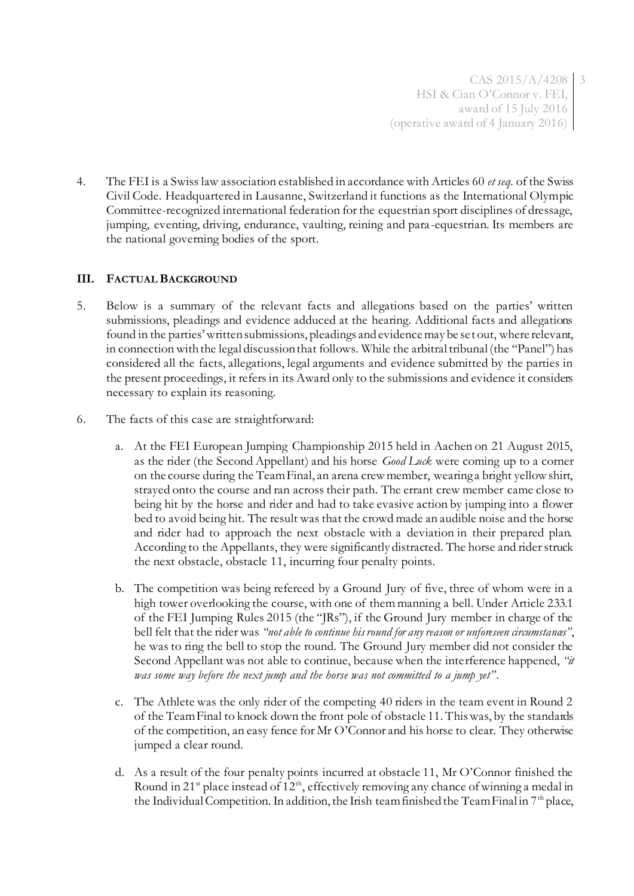4. The FEI is a Swiss law association established in accordance with Articles 60 *et seq.* of the Swiss Civil Code. Headquartered in Lausanne, Switzerland it functions as the International Olympic Committee-recognized international federation for the equestrian sport disciplines of dressage, jumping, eventing, driving, endurance, vaulting, reining and para-equestrian. Its members are the national governing bodies of the sport.

## **III. FACTUAL BACKGROUND**

- 5. Below is a summary of the relevant facts and allegations based on the parties' written submissions, pleadings and evidence adduced at the hearing. Additional facts and allegations found in the parties' written submissions, pleadings and evidence may be set out, where relevant, in connection with the legal discussion that follows. While the arbitral tribunal (the "Panel") has considered all the facts, allegations, legal arguments and evidence submitted by the parties in the present proceedings, it refers in its Award only to the submissions and evidence it considers necessary to explain its reasoning.
- 6. The facts of this case are straightforward:
	- a. At the FEI European Jumping Championship 2015 held in Aachen on 21 August 2015, as the rider (the Second Appellant) and his horse *Good Luck* were coming up to a corner on the course during the Team Final, an arena crew member, wearing a bright yellow shirt, strayed onto the course and ran across their path. The errant crew member came close to being hit by the horse and rider and had to take evasive action by jumping into a flower bed to avoid being hit. The result was that the crowd made an audible noise and the horse and rider had to approach the next obstacle with a deviation in their prepared plan. According to the Appellants, they were significantly distracted. The horse and rider struck the next obstacle, obstacle 11, incurring four penalty points.
	- b. The competition was being refereed by a Ground Jury of five, three of whom were in a high tower overlooking the course, with one of them manning a bell. Under Article 233.1 of the FEI Jumping Rules 2015 (the "JRs"), if the Ground Jury member in charge of the bell felt that the rider was "not able to continue his round for any reason or unforeseen circumstanæs", he was to ring the bell to stop the round. The Ground Jury member did not consider the Second Appellant was not able to continue, because when the interference happened, *"it was some way before the next jump and the horse was not committed to a jump yet"*.
	- c. The Athlete was the only rider of the competing 40 riders in the team event in Round 2 of the Team Final to knock down the front pole of obstacle 11. This was, by the standards of the competition, an easy fence for Mr O'Connor and his horse to clear. They otherwise jumped a clear round.
	- d. As a result of the four penalty points incurred at obstacle 11, Mr O'Connor finished the Round in 21<sup>st</sup> place instead of 12<sup>th</sup>, effectively removing any chance of winning a medal in the Individual Competition. In addition, the Irish team finished the Team Final in  $7<sup>th</sup>$  place,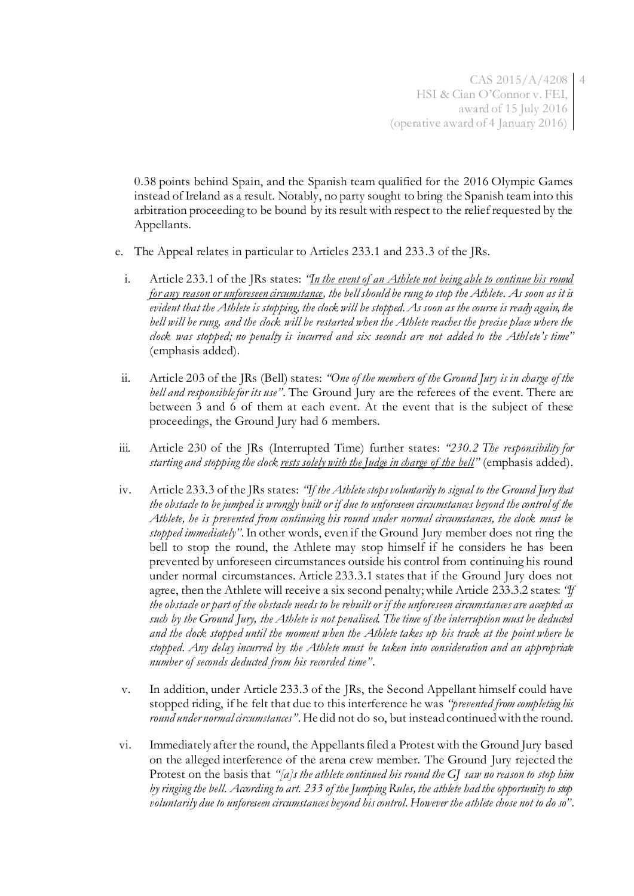0.38 points behind Spain, and the Spanish team qualified for the 2016 Olympic Games instead of Ireland as a result. Notably, no party sought to bring the Spanish team into this arbitration proceeding to be bound by its result with respect to the relief requested by the Appellants.

- e. The Appeal relates in particular to Articles 233.1 and 233.3 of the JRs.
	- i. Article 233.1 of the JRs states: *"In the event of an Athlete not being able to continue his round for any reason or unforeseen circumstance, the bell should be rung to stop the Athlete. As soon as it is evident that the Athlete is stopping, the clock will be stopped. As soon as the course is ready again, the bell will be rung, and the clock will be restarted when the Athlete reaches the precise place where the clock was stopped; no penalty is incurred and six seconds are not added to the Athlete's time"* (emphasis added).
- ii. Article 203 of the JRs (Bell) states: *"One of the members of the Ground Jury is in charge of the bell and responsible for its use"*. The Ground Jury are the referees of the event. There are between 3 and 6 of them at each event. At the event that is the subject of these proceedings, the Ground Jury had 6 members.
- iii. Article 230 of the JRs (Interrupted Time) further states: *"230.2 The responsibility for starting and stopping the clock rests solely with the Judge in charge of the bell"* (emphasis added).
- iv. Article 233.3 of the JRs states: *"If the Athlete stops voluntarily to signal to the Ground Jury that the obstacle to be jumped is wrongly built or if due to unforeseen circumstances beyond the control of the Athlete, he is prevented from continuing his round under normal circumstances, the clock must be stopped immediately"*. In other words, even if the Ground Jury member does not ring the bell to stop the round, the Athlete may stop himself if he considers he has been prevented by unforeseen circumstances outside his control from continuing his round under normal circumstances. Article 233.3.1 states that if the Ground Jury does not agree, then the Athlete will receive a six second penalty; while Article 233.3.2 states: *"If the obstacle or part of the obstacle needs to be rebuilt or if the unforeseen circumstances are accepted as such by the Ground Jury, the Athlete is not penalised. The time of the interruption must be deducted and the clock stopped until the moment when the Athlete takes up his track at the point where he stopped. Any delay incurred by the Athlete must be taken into consideration and an appropriate number of seconds deducted from his recorded time"*.
- v. In addition, under Article 233.3 of the JRs, the Second Appellant himself could have stopped riding, if he felt that due to this interference he was *"prevented from completing his round under normal circumstances"*. He did not do so, but instead continued with the round.
- vi. Immediately after the round, the Appellants filed a Protest with the Ground Jury based on the alleged interference of the arena crew member. The Ground Jury rejected the Protest on the basis that *"[a]s the athlete continued his round the GJ saw no reason to stop him by ringing the bell. According to art. 233 of the Jumping Rules, the athlete had the opportunity to stop voluntarily due to unforeseen circumstances beyond his control. However the athlete chose not to do so"*.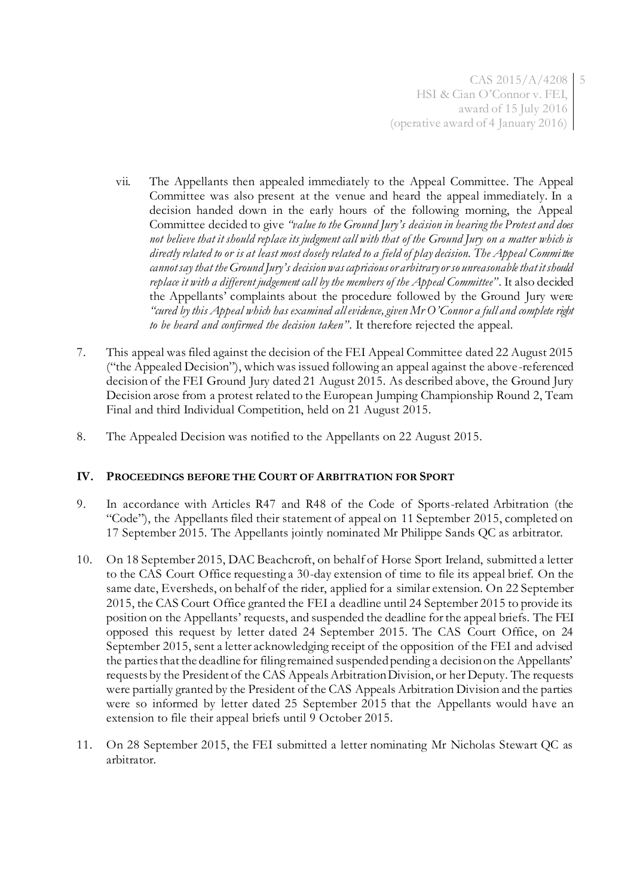- vii. The Appellants then appealed immediately to the Appeal Committee. The Appeal Committee was also present at the venue and heard the appeal immediately. In a decision handed down in the early hours of the following morning, the Appeal Committee decided to give *"value to the Ground Jury's decision in hearing the Protest and does not believe that it should replace its judgment call with that of the Ground Jury on a matter which is directly related to or is at least most closely related to a field of play decision. The Appeal Committee cannot say that the Ground Jury's decision was capricious or arbitrary or so unreasonable that it should replace it with a different judgement call by the members of the Appeal Committee"*. It also decided the Appellants' complaints about the procedure followed by the Ground Jury were *"cured by this Appeal which has examined all evidence, given Mr O'Connor a full and complete right to be heard and confirmed the decision taken"*. It therefore rejected the appeal.
- 7. This appeal was filed against the decision of the FEI Appeal Committee dated 22 August 2015 ("the Appealed Decision"), which was issued following an appeal against the above-referenced decision of the FEI Ground Jury dated 21 August 2015. As described above, the Ground Jury Decision arose from a protest related to the European Jumping Championship Round 2, Team Final and third Individual Competition, held on 21 August 2015.
- 8. The Appealed Decision was notified to the Appellants on 22 August 2015.

# **IV. PROCEEDINGS BEFORE THE COURT OF ARBITRATION FOR SPORT**

- 9. In accordance with Articles R47 and R48 of the Code of Sports-related Arbitration (the "Code"), the Appellants filed their statement of appeal on 11 September 2015, completed on 17 September 2015. The Appellants jointly nominated Mr Philippe Sands QC as arbitrator.
- 10. On 18 September 2015, DAC Beachcroft, on behalf of Horse Sport Ireland, submitted a letter to the CAS Court Office requesting a 30-day extension of time to file its appeal brief. On the same date, Eversheds, on behalf of the rider, applied for a similar extension. On 22 September 2015, the CAS Court Office granted the FEI a deadline until 24 September 2015 to provide its position on the Appellants' requests, and suspended the deadline for the appeal briefs. The FEI opposed this request by letter dated 24 September 2015. The CAS Court Office, on 24 September 2015, sent a letter acknowledging receipt of the opposition of the FEI and advised the parties that the deadline for filing remained suspended pending a decision on the Appellants' requests by the President of the CAS Appeals Arbitration Division, or her Deputy. The requests were partially granted by the President of the CAS Appeals Arbitration Division and the parties were so informed by letter dated 25 September 2015 that the Appellants would have an extension to file their appeal briefs until 9 October 2015.
- 11. On 28 September 2015, the FEI submitted a letter nominating Mr Nicholas Stewart QC as arbitrator.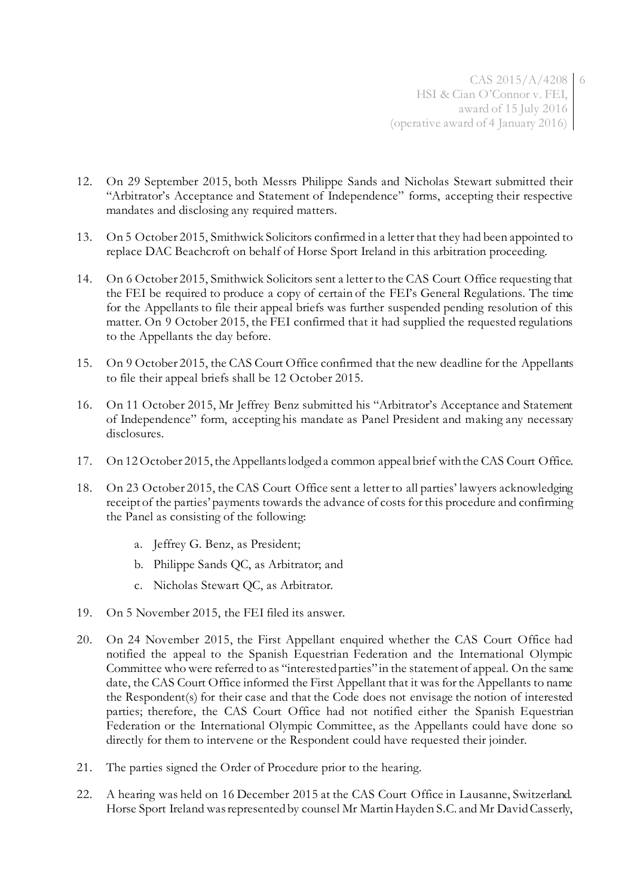- 12. On 29 September 2015, both Messrs Philippe Sands and Nicholas Stewart submitted their "Arbitrator's Acceptance and Statement of Independence" forms, accepting their respective mandates and disclosing any required matters.
- 13. On 5 October 2015, Smithwick Solicitors confirmed in a letter that they had been appointed to replace DAC Beachcroft on behalf of Horse Sport Ireland in this arbitration proceeding.
- 14. On 6 October 2015, Smithwick Solicitors sent a letter to the CAS Court Office requesting that the FEI be required to produce a copy of certain of the FEI's General Regulations. The time for the Appellants to file their appeal briefs was further suspended pending resolution of this matter. On 9 October 2015, the FEI confirmed that it had supplied the requested regulations to the Appellants the day before.
- 15. On 9 October 2015, the CAS Court Office confirmed that the new deadline for the Appellants to file their appeal briefs shall be 12 October 2015.
- 16. On 11 October 2015, Mr Jeffrey Benz submitted his "Arbitrator's Acceptance and Statement of Independence" form, accepting his mandate as Panel President and making any necessary disclosures.
- 17. On 12 October 2015, the Appellants lodged a common appeal brief with the CAS Court Office.
- 18. On 23 October 2015, the CAS Court Office sent a letter to all parties' lawyers acknowledging receipt of the parties' payments towards the advance of costs for this procedure and confirming the Panel as consisting of the following:
	- a. Jeffrey G. Benz, as President;
	- b. Philippe Sands QC, as Arbitrator; and
	- c. Nicholas Stewart QC, as Arbitrator.
- 19. On 5 November 2015, the FEI filed its answer.
- 20. On 24 November 2015, the First Appellant enquired whether the CAS Court Office had notified the appeal to the Spanish Equestrian Federation and the International Olympic Committee who were referred to as "interested parties" in the statement of appeal. On the same date, the CAS Court Office informed the First Appellant that it was for the Appellants to name the Respondent(s) for their case and that the Code does not envisage the notion of interested parties; therefore, the CAS Court Office had not notified either the Spanish Equestrian Federation or the International Olympic Committee, as the Appellants could have done so directly for them to intervene or the Respondent could have requested their joinder.
- 21. The parties signed the Order of Procedure prior to the hearing.
- 22. A hearing was held on 16 December 2015 at the CAS Court Office in Lausanne, Switzerland. Horse Sport Ireland was represented by counsel Mr Martin Hayden S.C. and Mr David Casserly,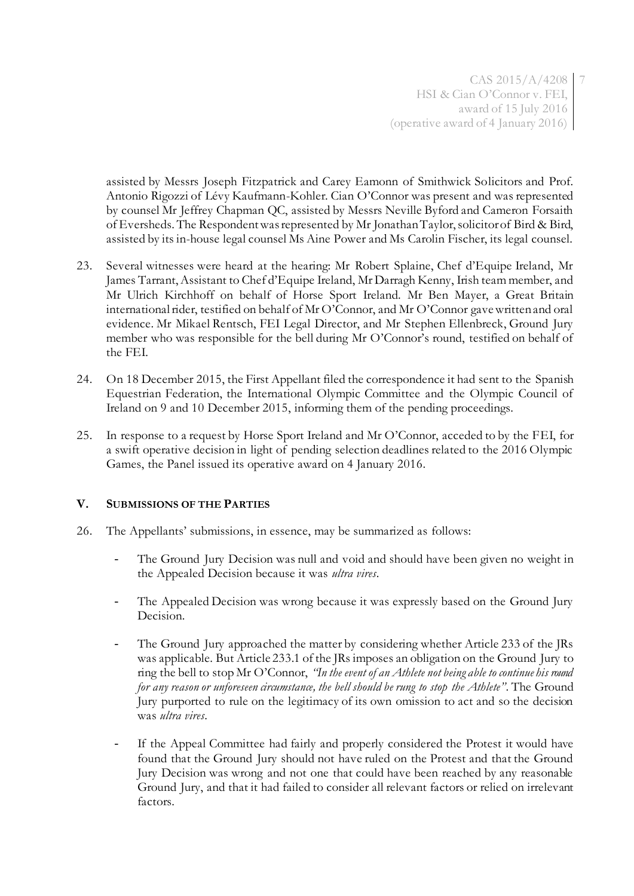assisted by Messrs Joseph Fitzpatrick and Carey Eamonn of Smithwick Solicitors and Prof. Antonio Rigozzi of Lévy Kaufmann-Kohler. Cian O'Connor was present and was represented by counsel Mr Jeffrey Chapman QC, assisted by Messrs Neville Byford and Cameron Forsaith of Eversheds. The Respondent was represented by Mr Jonathan Taylor, solicitor of Bird & Bird, assisted by its in-house legal counsel Ms Aine Power and Ms Carolin Fischer, its legal counsel.

- 23. Several witnesses were heard at the hearing: Mr Robert Splaine, Chef d'Equipe Ireland, Mr James Tarrant, Assistant to Chef d'Equipe Ireland, Mr Darragh Kenny, Irish team member, and Mr Ulrich Kirchhoff on behalf of Horse Sport Ireland. Mr Ben Mayer, a Great Britain international rider, testified on behalf of Mr O'Connor, and Mr O'Connor gave written and oral evidence. Mr Mikael Rentsch, FEI Legal Director, and Mr Stephen Ellenbreck, Ground Jury member who was responsible for the bell during Mr O'Connor's round, testified on behalf of the FEI.
- 24. On 18 December 2015, the First Appellant filed the correspondence it had sent to the Spanish Equestrian Federation, the International Olympic Committee and the Olympic Council of Ireland on 9 and 10 December 2015, informing them of the pending proceedings.
- 25. In response to a request by Horse Sport Ireland and Mr O'Connor, acceded to by the FEI, for a swift operative decision in light of pending selection deadlines related to the 2016 Olympic Games, the Panel issued its operative award on 4 January 2016.

#### **V. SUBMISSIONS OF THE PARTIES**

- 26. The Appellants' submissions, in essence, may be summarized as follows:
	- The Ground Jury Decision was null and void and should have been given no weight in the Appealed Decision because it was *ultra vires*.
	- The Appealed Decision was wrong because it was expressly based on the Ground Jury Decision.
	- The Ground Jury approached the matter by considering whether Article 233 of the JRs was applicable. But Article 233.1 of the JRs imposes an obligation on the Ground Jury to ring the bell to stop Mr O'Connor, *"In the event of an Athlete not being able to continue his round for any reason or unforeseen circumstance, the bell should be rung to stop the Athlete"*. The Ground Jury purported to rule on the legitimacy of its own omission to act and so the decision was *ultra vires*.
	- If the Appeal Committee had fairly and properly considered the Protest it would have found that the Ground Jury should not have ruled on the Protest and that the Ground Jury Decision was wrong and not one that could have been reached by any reasonable Ground Jury, and that it had failed to consider all relevant factors or relied on irrelevant factors.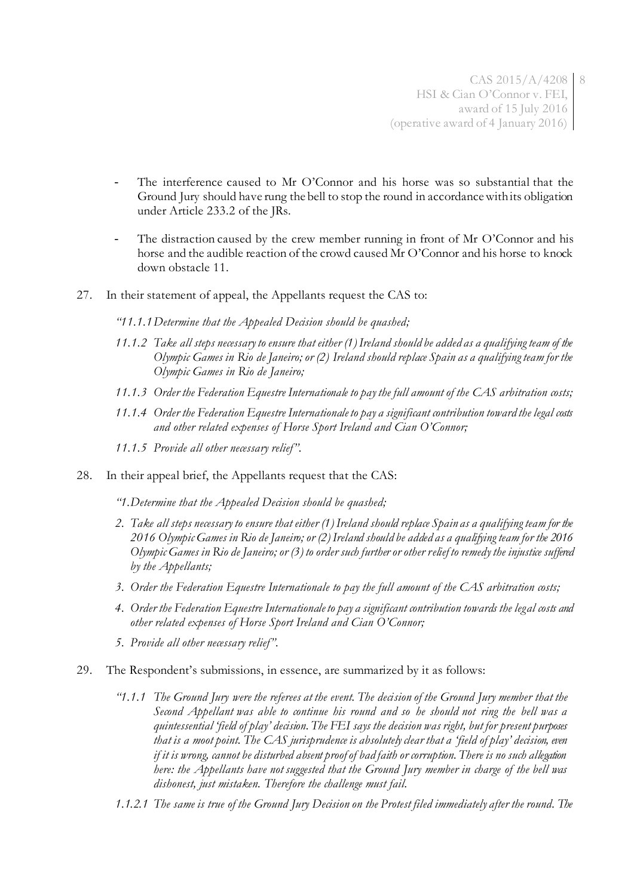- The interference caused to Mr O'Connor and his horse was so substantial that the Ground Jury should have rung the bell to stop the round in accordance with its obligation under Article 233.2 of the JRs.
- The distraction caused by the crew member running in front of Mr O'Connor and his horse and the audible reaction of the crowd caused Mr O'Connor and his horse to knock down obstacle 11.
- 27. In their statement of appeal, the Appellants request the CAS to:
	- *"11.1.1Determine that the Appealed Decision should be quashed;*
	- *11.1.2 Take all steps necessary to ensure that either (1) Ireland should be added as a qualifying team of the Olympic Games in Rio de Janeiro; or (2) Ireland should replace Spain as a qualifying team for the Olympic Games in Rio de Janeiro;*
	- *11.1.3 Order the Federation Equestre Internationale to pay the full amount of the CAS arbitration costs;*
	- *11.1.4 Order the Federation Equestre Internationale to pay a significant contribution toward the legal costs and other related expenses of Horse Sport Ireland and Cian O'Connor;*
	- *11.1.5 Provide all other necessary relief".*
- 28. In their appeal brief, the Appellants request that the CAS:
	- *"1.Determine that the Appealed Decision should be quashed;*
	- *2. Take all steps necessary to ensure that either (1) Ireland should replace Spain as a qualifying team for the 2016 Olympic Games in Rio de Janeiro; or (2) Ireland should be added as a qualifying team for the 2016 Olympic Games in Rio de Janeiro; or (3) to order such further or other relief to remedy the injustice suffered by the Appellants;*
	- *3. Order the Federation Equestre Internationale to pay the full amount of the CAS arbitration costs;*
	- *4. Order the Federation Equestre Internationale to pay a significant contribution towards the legal costs and other related expenses of Horse Sport Ireland and Cian O'Connor;*
	- *5. Provide all other necessary relief".*
- 29. The Respondent's submissions, in essence, are summarized by it as follows:
	- *"1.1.1 The Ground Jury were the referees at the event. The decision of the Ground Jury member that the Second Appellant was able to continue his round and so he should not ring the bell was a quintessential 'field of play' decision. The FEI says the decision was right, but for present purposes that is a moot point. The CAS jurisprudence is absolutely clear that a 'field of play' decision, even if it is wrong, cannot be disturbed absent proof of bad faith or corruption. There is no such allegation here: the Appellants have not suggested that the Ground Jury member in charge of the bell was dishonest, just mistaken. Therefore the challenge must fail.*
	- *1.1.2.1 The same is true of the Ground Jury Decision on the Protest filed immediately after the round. The*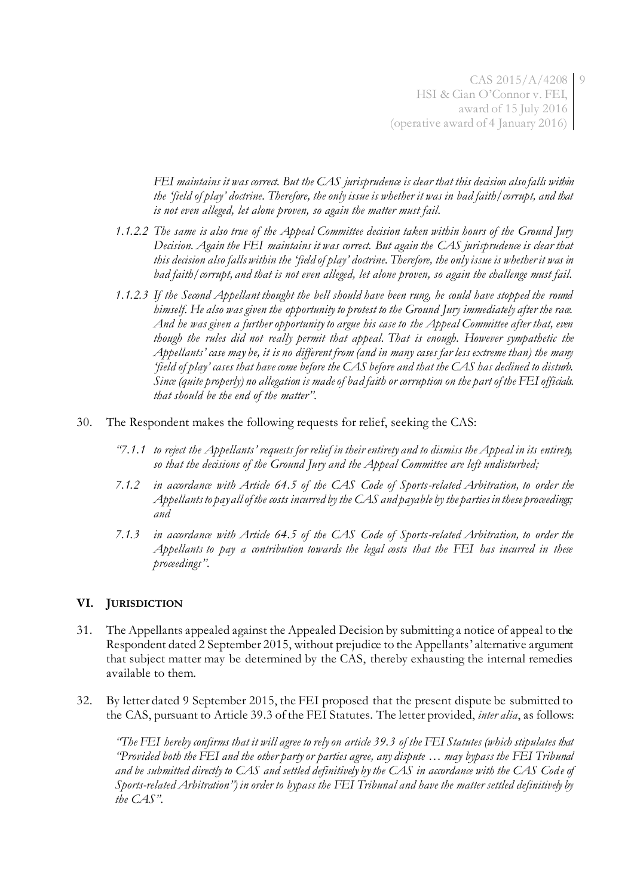*FEI maintains it was correct. But the CAS jurisprudence is clear that this decision also falls within the 'field of play' doctrine. Therefore, the only issue is whether it was in bad faith/corrupt, and that is not even alleged, let alone proven, so again the matter must fail.*

- *1.1.2.2 The same is also true of the Appeal Committee decision taken within hours of the Ground Jury Decision. Again the FEI maintains it was correct. But again the CAS jurisprudence is clear that this decision also falls within the 'field of play' doctrine. Therefore, the only issue is whether it was in bad faith/corrupt, and that is not even alleged, let alone proven, so again the challenge must fail.*
- *1.1.2.3 If the Second Appellant thought the bell should have been rung, he could have stopped the round himself. He also was given the opportunity to protest to the Ground Jury immediately after the race. And he was given a further opportunity to argue his case to the Appeal Committee after that, even though the rules did not really permit that appeal. That is enough. However sympathetic the Appellants' case may be, it is no different from (and in many cases far less extreme than) the many 'field of play' cases that have come before the CAS before and that the CAS has declined to disturb. Since (quite properly) no allegation is made of bad faith or corruption on the part of the FEI officials. that should be the end of the matter".*
- 30. The Respondent makes the following requests for relief, seeking the CAS:
	- *"7.1.1 to reject the Appellants' requests for relief in their entirety and to dismiss the Appeal in its entirety, so that the decisions of the Ground Jury and the Appeal Committee are left undisturbed;*
	- *7.1.2 in accordance with Article 64.5 of the CAS Code of Sports-related Arbitration, to order the Appellants to pay all of the costs incurred by the CAS and payable by the parties in these proceedings; and*
	- *7.1.3 in accordance with Article 64.5 of the CAS Code of Sports-related Arbitration, to order the Appellants to pay a contribution towards the legal costs that the FEI has incurred in these proceedings".*

#### **VI. JURISDICTION**

- 31. The Appellants appealed against the Appealed Decision by submitting a notice of appeal to the Respondent dated 2 September 2015, without prejudice to the Appellants' alternative argument that subject matter may be determined by the CAS, thereby exhausting the internal remedies available to them.
- 32. By letter dated 9 September 2015, the FEI proposed that the present dispute be submitted to the CAS, pursuant to Article 39.3 of the FEI Statutes. The letter provided, *inter alia*, as follows:

*"The FEI hereby confirms that it will agree to rely on article 39.3 of the FEI Statutes (which stipulates that "Provided both the FEI and the other party or parties agree, any dispute … may bypass the FEI Tribunal*  and be submitted directly to CAS and settled definitively by the CAS in accordance with the CAS Code of *Sports-related Arbitration") in order to bypass the FEI Tribunal and have the matter settled definitively by the CAS".*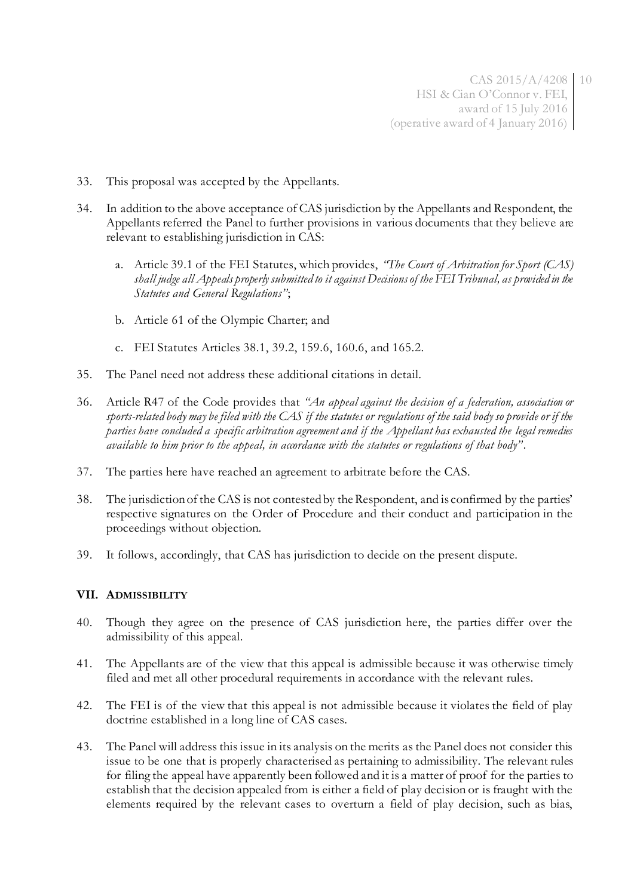- 33. This proposal was accepted by the Appellants.
- 34. In addition to the above acceptance of CAS jurisdiction by the Appellants and Respondent, the Appellants referred the Panel to further provisions in various documents that they believe are relevant to establishing jurisdiction in CAS:
	- a. Article 39.1 of the FEI Statutes, which provides, *"The Court of Arbitration for Sport (CAS) shall judge all Appeals properly submitted to it against Decisions of the FEI Tribunal, as provided in the Statutes and General Regulations"*;
	- b. Article 61 of the Olympic Charter; and
	- c. FEI Statutes Articles 38.1, 39.2, 159.6, 160.6, and 165.2.
- 35. The Panel need not address these additional citations in detail.
- 36. Article R47 of the Code provides that *"An appeal against the decision of a federation, association or sports-related body may be filed with the CAS if the statutes or regulations of the said body so provide or if the parties have concluded a specific arbitration agreement and if the Appellant has exhausted the legal remedies available to him prior to the appeal, in accordance with the statutes or regulations of that body" .*
- 37. The parties here have reached an agreement to arbitrate before the CAS.
- 38. The jurisdiction of the CAS is not contested by the Respondent, and is confirmed by the parties' respective signatures on the Order of Procedure and their conduct and participation in the proceedings without objection.
- 39. It follows, accordingly, that CAS has jurisdiction to decide on the present dispute.

#### **VII. ADMISSIBILITY**

- 40. Though they agree on the presence of CAS jurisdiction here, the parties differ over the admissibility of this appeal.
- 41. The Appellants are of the view that this appeal is admissible because it was otherwise timely filed and met all other procedural requirements in accordance with the relevant rules.
- 42. The FEI is of the view that this appeal is not admissible because it violates the field of play doctrine established in a long line of CAS cases.
- 43. The Panel will address this issue in its analysis on the merits as the Panel does not consider this issue to be one that is properly characterised as pertaining to admissibility. The relevant rules for filing the appeal have apparently been followed and it is a matter of proof for the parties to establish that the decision appealed from is either a field of play decision or is fraught with the elements required by the relevant cases to overturn a field of play decision, such as bias,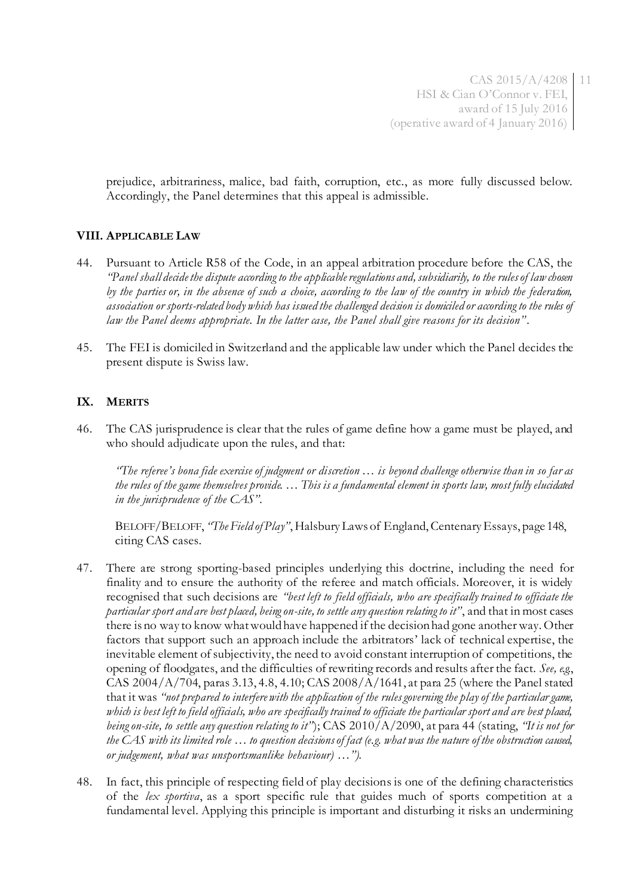prejudice, arbitrariness, malice, bad faith, corruption, etc., as more fully discussed below. Accordingly, the Panel determines that this appeal is admissible.

## **VIII. APPLICABLE LAW**

- 44. Pursuant to Article R58 of the Code, in an appeal arbitration procedure before the CAS, the *"Panel shall decide the dispute according to the applicable regulations and, subsidiarily, to the rules of law chosen by the parties or, in the absence of such a choice, according to the law of the country in which the federation, association or sports-related body which has issued the challenged decision is domiciled or according to the rules of law the Panel deems appropriate. In the latter case, the Panel shall give reasons for its decision"* .
- 45. The FEI is domiciled in Switzerland and the applicable law under which the Panel decides the present dispute is Swiss law.

## **IX. MERITS**

46. The CAS jurisprudence is clear that the rules of game define how a game must be played, and who should adjudicate upon the rules, and that:

*"The referee's bona fide exercise of judgment or discretion … is beyond challenge otherwise than in so far as the rules of the game themselves provide. … This is a fundamental element in sports law, most fully elucidated in the jurisprudence of the CAS".*

BELOFF/BELOFF, *"The Field of Play"*, Halsbury Laws of England, Centenary Essays, page 148, citing CAS cases.

- 47. There are strong sporting-based principles underlying this doctrine, including the need for finality and to ensure the authority of the referee and match officials. Moreover, it is widely recognised that such decisions are *"best left to field officials, who are specifically trained to officiate the particular sport and are best placed, being on-site, to settle any question relating to it"*, and that in most cases there is no way to know what would have happened if the decision had gone another way. Other factors that support such an approach include the arbitrators' lack of technical expertise, the inevitable element of subjectivity, the need to avoid constant interruption of competitions, the opening of floodgates, and the difficulties of rewriting records and results after the fact. *See, e.g.*, CAS 2004/A/704, paras 3.13, 4.8, 4.10; CAS 2008/A/1641, at para 25 (where the Panel stated that it was *"not prepared to interfere with the application of the rules governing the play of the particular game, which is best left to field officials, who are specifically trained to officiate the particular sport and are best placed, being on-site, to settle any question relating to it"*); CAS 2010/A/2090, at para 44 (stating, *"It is not for the CAS with its limited role … to question decisions of fact (e.g. what was the nature of the obstruction caused, or judgement, what was unsportsmanlike behaviour) …")*.
- 48. In fact, this principle of respecting field of play decisions is one of the defining characteristics of the *lex sportiva*, as a sport specific rule that guides much of sports competition at a fundamental level. Applying this principle is important and disturbing it risks an undermining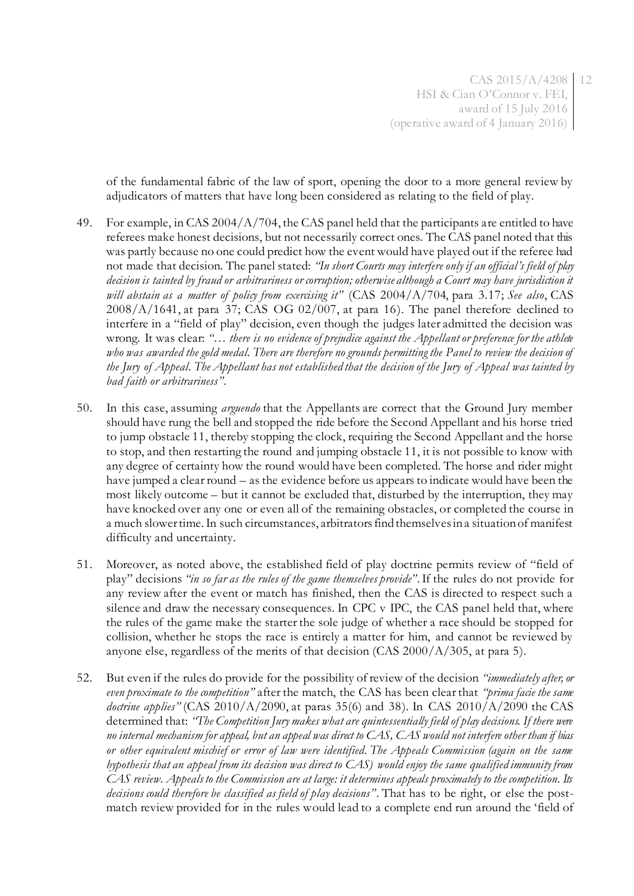of the fundamental fabric of the law of sport, opening the door to a more general review by adjudicators of matters that have long been considered as relating to the field of play.

- 49. For example, in CAS 2004/A/704, the CAS panel held that the participants are entitled to have referees make honest decisions, but not necessarily correct ones. The CAS panel noted that this was partly because no one could predict how the event would have played out if the referee had not made that decision. The panel stated: *"In short Courts may interfere only if an official's field of play decision is tainted by fraud or arbitrariness or corruption; otherwise although a Court may have jurisdiction it will abstain as a matter of policy from exercising it"* (CAS 2004/A/704, para 3.17; *See also*, CAS  $2008/A/1641$ , at para 37; CAS OG 02/007, at para 16). The panel therefore declined to interfere in a "field of play" decision, even though the judges later admitted the decision was wrong. It was clear: *"… there is no evidence of prejudice against the Appellant or preference for the athlete who was awarded the gold medal. There are therefore no grounds permitting the Panel to review the decision of the Jury of Appeal. The Appellant has not established that the decision of the Jury of Appeal was tainted by bad faith or arbitrariness"*.
- 50. In this case, assuming *arguendo* that the Appellants are correct that the Ground Jury member should have rung the bell and stopped the ride before the Second Appellant and his horse tried to jump obstacle 11, thereby stopping the clock, requiring the Second Appellant and the horse to stop, and then restarting the round and jumping obstacle 11, it is not possible to know with any degree of certainty how the round would have been completed. The horse and rider might have jumped a clear round – as the evidence before us appears to indicate would have been the most likely outcome – but it cannot be excluded that, disturbed by the interruption, they may have knocked over any one or even all of the remaining obstacles, or completed the course in a much slower time. In such circumstances, arbitrators find themselves in a situation of manifest difficulty and uncertainty.
- 51. Moreover, as noted above, the established field of play doctrine permits review of "field of play" decisions *"in so far as the rules of the game themselves provide"*.If the rules do not provide for any review after the event or match has finished, then the CAS is directed to respect such a silence and draw the necessary consequences. In CPC v IPC, the CAS panel held that, where the rules of the game make the starter the sole judge of whether a race should be stopped for collision, whether he stops the race is entirely a matter for him, and cannot be reviewed by anyone else, regardless of the merits of that decision (CAS  $2000/A/305$ , at para 5).
- 52. But even if the rules do provide for the possibility of review of the decision *"immediately after, or even proximate to the competition"* after the match, the CAS has been clear that *"prima facie the same doctrine applies"* (CAS 2010/A/2090, at paras 35(6) and 38). In CAS 2010/A/2090 the CAS determined that: *"The Competition Jury makes what are quintessentially field of play decisions. If there were no internal mechanism for appeal, but an appeal was direct to CAS, CAS would not interfere other than if bias or other equivalent mischief or error of law were identified. The Appeals Commission (again on the same hypothesis that an appeal from its decision was direct to CAS) would enjoy the same qualified immunity from CAS review. Appeals to the Commission are at large: it determines appeals proximately to the competition. Its decisions could therefore be classified as field of play decisions"*. That has to be right, or else the postmatch review provided for in the rules would lead to a complete end run around the 'field of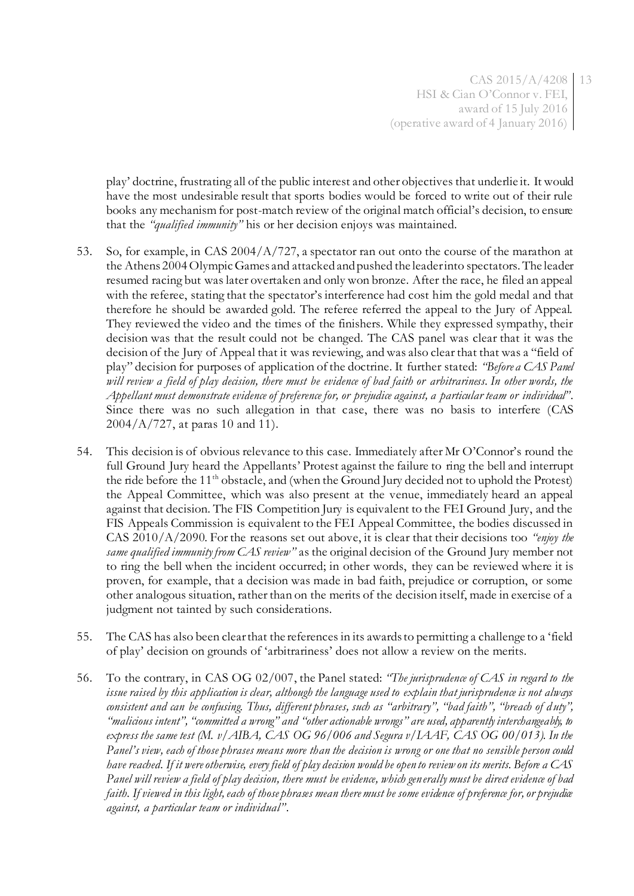play' doctrine, frustrating all of the public interest and other objectives that underlie it. It would have the most undesirable result that sports bodies would be forced to write out of their rule books any mechanism for post-match review of the original match official's decision, to ensure that the *"qualified immunity"* his or her decision enjoys was maintained.

- 53. So, for example, in CAS 2004/A/727, a spectator ran out onto the course of the marathon at the Athens 2004 Olympic Games and attacked and pushed the leader into spectators. The leader resumed racing but was later overtaken and only won bronze. After the race, he filed an appeal with the referee, stating that the spectator's interference had cost him the gold medal and that therefore he should be awarded gold. The referee referred the appeal to the Jury of Appeal. They reviewed the video and the times of the finishers. While they expressed sympathy, their decision was that the result could not be changed. The CAS panel was clear that it was the decision of the Jury of Appeal that it was reviewing, and was also clear that that was a "field of play" decision for purposes of application of the doctrine. It further stated: *"Before a CAS Panel will review a field of play decision, there must be evidence of bad faith or arbitrariness. In other words, the Appellant must demonstrate evidence of preference for, or prejudice against, a particular team or individual"*. Since there was no such allegation in that case, there was no basis to interfere (CAS 2004/A/727, at paras 10 and 11).
- 54. This decision is of obvious relevance to this case. Immediately after Mr O'Connor's round the full Ground Jury heard the Appellants' Protest against the failure to ring the bell and interrupt the ride before the 11<sup>th</sup> obstacle, and (when the Ground Jury decided not to uphold the Protest) the Appeal Committee, which was also present at the venue, immediately heard an appeal against that decision. The FIS Competition Jury is equivalent to the FEI Ground Jury, and the FIS Appeals Commission is equivalent to the FEI Appeal Committee, the bodies discussed in CAS 2010/A/2090. For the reasons set out above, it is clear that their decisions too *"enjoy the same qualified immunity from CAS review"* as the original decision of the Ground Jury member not to ring the bell when the incident occurred; in other words, they can be reviewed where it is proven, for example, that a decision was made in bad faith, prejudice or corruption, or some other analogous situation, rather than on the merits of the decision itself, made in exercise of a judgment not tainted by such considerations.
- 55. The CAS has also been clear that the references in its awards to permitting a challenge to a 'field of play' decision on grounds of 'arbitrariness' does not allow a review on the merits.
- 56. To the contrary, in CAS OG 02/007, the Panel stated: *"The jurisprudence of CAS in regard to the issue raised by this application is clear, although the language used to explain that jurisprudence is not always consistent and can be confusing. Thus, different phrases, such as "arbitrary", "bad faith", "breach of duty", "malicious intent", "committed a wrong" and "other actionable wrongs" are used, apparently interchangeably, to express the same test (M. v/AIBA, CAS OG 96/006 and Segura v/IAAF, CAS OG 00/013). In the Panel's view, each of those phrases means more than the decision is wrong or one that no sensible person could have reached. If it were otherwise, every field of play decision would be open to review on its merits. Before a CAS Panel will review a field of play decision, there must be evidence, which generally must be direct evidence of bad faith. If viewed in this light, each of those phrases mean there must be some evidence of preference for, or prejudice against, a particular team or individual"*.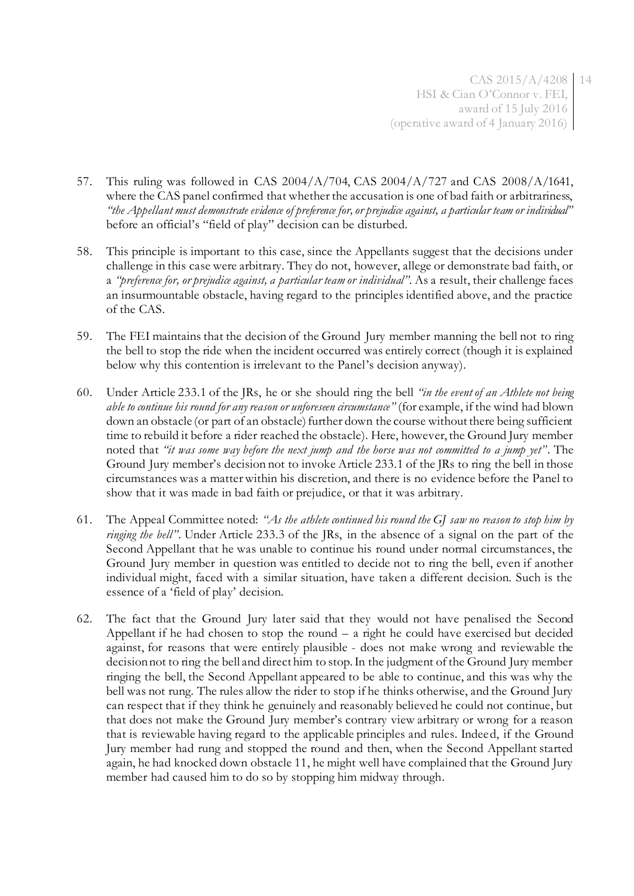- 57. This ruling was followed in CAS 2004/A/704, CAS 2004/A/727 and CAS 2008/A/1641, where the CAS panel confirmed that whether the accusation is one of bad faith or arbitrariness, *"the Appellant must demonstrate evidence of preference for, or prejudice against, a particular team or individual"* before an official's "field of play" decision can be disturbed.
- 58. This principle is important to this case, since the Appellants suggest that the decisions under challenge in this case were arbitrary. They do not, however, allege or demonstrate bad faith, or a *"preference for, or prejudice against, a particular team or individual"*. As a result, their challenge faces an insurmountable obstacle, having regard to the principles identified above, and the practice of the CAS.
- 59. The FEI maintains that the decision of the Ground Jury member manning the bell not to ring the bell to stop the ride when the incident occurred was entirely correct (though it is explained below why this contention is irrelevant to the Panel's decision anyway).
- 60. Under Article 233.1 of the JRs, he or she should ring the bell *"in the event of an Athlete not being able to continue his round for any reason or unforeseen circumstance"* (for example, if the wind had blown down an obstacle (or part of an obstacle) further down the course without there being sufficient time to rebuild it before a rider reached the obstacle). Here, however, the Ground Jury member noted that *"it was some way before the next jump and the horse was not committed to a jump yet"*. The Ground Jury member's decision not to invoke Article 233.1 of the JRs to ring the bell in those circumstances was a matter within his discretion, and there is no evidence before the Panel to show that it was made in bad faith or prejudice, or that it was arbitrary.
- 61. The Appeal Committee noted: *"As the athlete continued his round the GJ saw no reason to stop him by ringing the bell"*. Under Article 233.3 of the JRs, in the absence of a signal on the part of the Second Appellant that he was unable to continue his round under normal circumstances, the Ground Jury member in question was entitled to decide not to ring the bell, even if another individual might, faced with a similar situation, have taken a different decision. Such is the essence of a 'field of play' decision.
- 62. The fact that the Ground Jury later said that they would not have penalised the Second Appellant if he had chosen to stop the round – a right he could have exercised but decided against, for reasons that were entirely plausible - does not make wrong and reviewable the decision not to ring the bell and direct him to stop. In the judgment of the Ground Jury member ringing the bell, the Second Appellant appeared to be able to continue, and this was why the bell was not rung. The rules allow the rider to stop if he thinks otherwise, and the Ground Jury can respect that if they think he genuinely and reasonably believed he could not continue, but that does not make the Ground Jury member's contrary view arbitrary or wrong for a reason that is reviewable having regard to the applicable principles and rules. Indeed, if the Ground Jury member had rung and stopped the round and then, when the Second Appellant started again, he had knocked down obstacle 11, he might well have complained that the Ground Jury member had caused him to do so by stopping him midway through.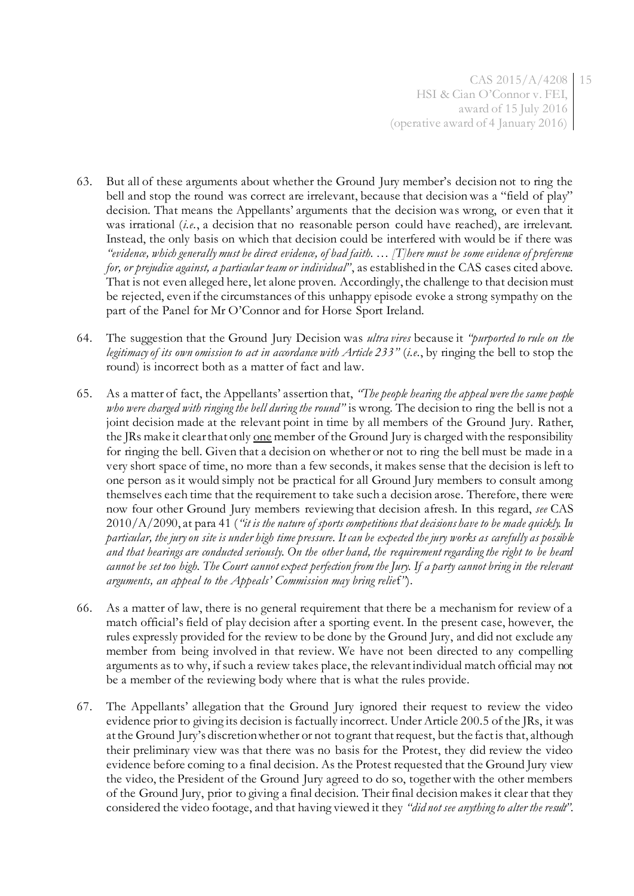- 63. But all of these arguments about whether the Ground Jury member's decision not to ring the bell and stop the round was correct are irrelevant, because that decision was a "field of play" decision. That means the Appellants' arguments that the decision was wrong, or even that it was irrational (*i.e.*, a decision that no reasonable person could have reached), are irrelevant. Instead, the only basis on which that decision could be interfered with would be if there was *"evidence, which generally must be direct evidence, of bad faith. … [T]here must be some evidence of preference for, or prejudice against, a particular team or individual"*, as established in the CAS cases cited above. That is not even alleged here, let alone proven. Accordingly, the challenge to that decision must be rejected, even if the circumstances of this unhappy episode evoke a strong sympathy on the part of the Panel for Mr O'Connor and for Horse Sport Ireland.
- 64. The suggestion that the Ground Jury Decision was *ultra vires* because it *"purported to rule on the legitimacy of its own omission to act in accordance with Article 233"* (*i.e.*, by ringing the bell to stop the round) is incorrect both as a matter of fact and law.
- 65. As a matter of fact, the Appellants' assertion that, *"The people hearing the appeal were the same people who were charged with ringing the bell during the round"* is wrong. The decision to ring the bell is not a joint decision made at the relevant point in time by all members of the Ground Jury. Rather, the JRs make it clear that only one member of the Ground Jury is charged with the responsibility for ringing the bell. Given that a decision on whether or not to ring the bell must be made in a very short space of time, no more than a few seconds, it makes sense that the decision is left to one person as it would simply not be practical for all Ground Jury members to consult among themselves each time that the requirement to take such a decision arose. Therefore, there were now four other Ground Jury members reviewing that decision afresh. In this regard, *see* CAS 2010/A/2090, at para 41 (*"it is the nature of sports competitions that decisions have to be made quickly. In particular, the jury on site is under high time pressure. It can be expected the jury works as carefully as possible and that hearings are conducted seriously. On the other hand, the requirement regarding the right to be heard cannot be set too high. The Court cannot expect perfection from the Jury. If a party cannot bring in the relevant arguments, an appeal to the Appeals' Commission may bring relie*f*"*).
- 66. As a matter of law, there is no general requirement that there be a mechanism for review of a match official's field of play decision after a sporting event. In the present case, however, the rules expressly provided for the review to be done by the Ground Jury, and did not exclude any member from being involved in that review. We have not been directed to any compelling arguments as to why, if such a review takes place, the relevant individual match official may not be a member of the reviewing body where that is what the rules provide.
- 67. The Appellants' allegation that the Ground Jury ignored their request to review the video evidence prior to giving its decision is factually incorrect. Under Article 200.5 of the JRs, it was at the Ground Jury's discretion whether or not to grant that request, but the fact is that, although their preliminary view was that there was no basis for the Protest, they did review the video evidence before coming to a final decision. As the Protest requested that the Ground Jury view the video, the President of the Ground Jury agreed to do so, together with the other members of the Ground Jury, prior to giving a final decision. Their final decision makes it clear that they considered the video footage, and that having viewed it they *"did not see anything to alter the result"*.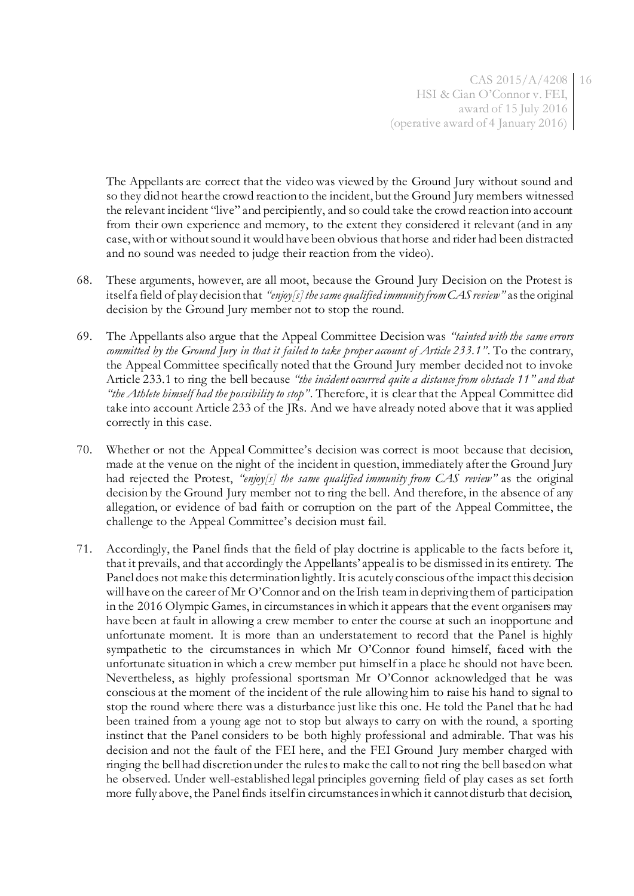The Appellants are correct that the video was viewed by the Ground Jury without sound and so they did not hear the crowd reaction to the incident, but the Ground Jury members witnessed the relevant incident "live" and percipiently, and so could take the crowd reaction into account from their own experience and memory, to the extent they considered it relevant (and in any case, with or without sound it would have been obvious that horse and rider had been distracted and no sound was needed to judge their reaction from the video).

- 68. These arguments, however, are all moot, because the Ground Jury Decision on the Protest is itself a field of play decision that *"enjoy[s] the same qualified immunity from CAS review"* as the original decision by the Ground Jury member not to stop the round.
- 69. The Appellants also argue that the Appeal Committee Decision was *"tainted with the same errors committed by the Ground Jury in that it failed to take proper account of Article 233.1"*. To the contrary, the Appeal Committee specifically noted that the Ground Jury member decided not to invoke Article 233.1 to ring the bell because *"the incident occurred quite a distance from obstacle 11" and that "the Athlete himself had the possibility to stop"*. Therefore, it is clear that the Appeal Committee did take into account Article 233 of the JRs. And we have already noted above that it was applied correctly in this case.
- 70. Whether or not the Appeal Committee's decision was correct is moot because that decision, made at the venue on the night of the incident in question, immediately after the Ground Jury had rejected the Protest, *"enjoy[s] the same qualified immunity from CAS review"* as the original decision by the Ground Jury member not to ring the bell. And therefore, in the absence of any allegation, or evidence of bad faith or corruption on the part of the Appeal Committee, the challenge to the Appeal Committee's decision must fail.
- 71. Accordingly, the Panel finds that the field of play doctrine is applicable to the facts before it, that it prevails, and that accordingly the Appellants' appeal is to be dismissed in its entirety. The Panel does not make this determination lightly. It is acutely conscious of the impact this decision will have on the career of Mr O'Connor and on the Irish team in depriving them of participation in the 2016 Olympic Games, in circumstances in which it appears that the event organisers may have been at fault in allowing a crew member to enter the course at such an inopportune and unfortunate moment. It is more than an understatement to record that the Panel is highly sympathetic to the circumstances in which Mr O'Connor found himself, faced with the unfortunate situation in which a crew member put himself in a place he should not have been. Nevertheless, as highly professional sportsman Mr O'Connor acknowledged that he was conscious at the moment of the incident of the rule allowing him to raise his hand to signal to stop the round where there was a disturbance just like this one. He told the Panel that he had been trained from a young age not to stop but always to carry on with the round, a sporting instinct that the Panel considers to be both highly professional and admirable. That was his decision and not the fault of the FEI here, and the FEI Ground Jury member charged with ringing the bell had discretion under the rules to make the call to not ring the bell based on what he observed. Under well-established legal principles governing field of play cases as set forth more fully above, the Panel finds itself in circumstances in which it cannot disturb that decision,